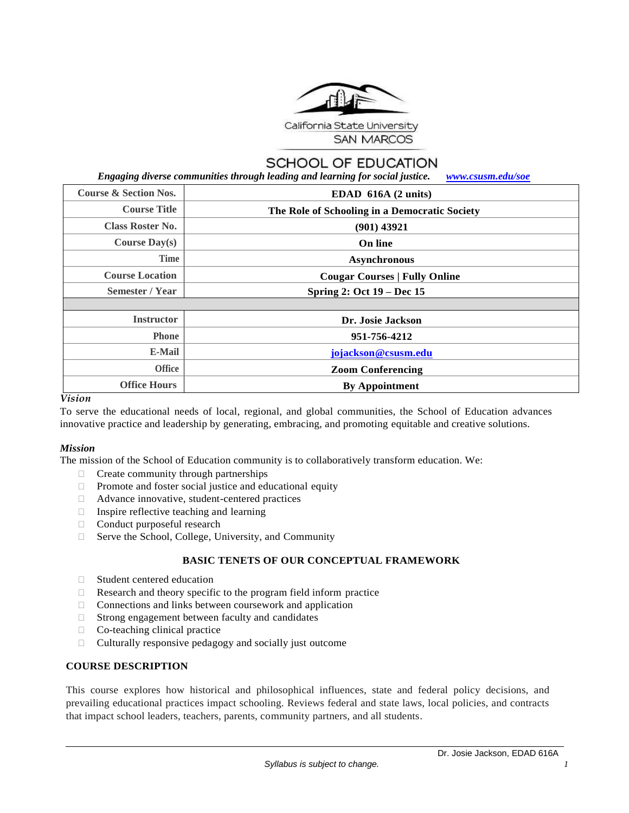

# **SCHOOL OF EDUCATION**

 *Engaging diverse communities through leading and learning for social justice. [www.csusm.edu/soe](http://www.csusm.edu/soe)*

| <b>Course &amp; Section Nos.</b> | EDAD $616A$ (2 units)                         |  |  |
|----------------------------------|-----------------------------------------------|--|--|
| <b>Course Title</b>              | The Role of Schooling in a Democratic Society |  |  |
| <b>Class Roster No.</b>          | (901) 43921                                   |  |  |
| Course $Day(s)$                  | On line                                       |  |  |
| <b>Time</b>                      | <b>Asynchronous</b>                           |  |  |
| <b>Course Location</b>           | <b>Cougar Courses   Fully Online</b>          |  |  |
| Semester / Year                  | Spring 2: Oct $19 - Dec 15$                   |  |  |
|                                  |                                               |  |  |
| <b>Instructor</b>                | Dr. Josie Jackson                             |  |  |
| <b>Phone</b>                     | 951-756-4212                                  |  |  |
| <b>E-Mail</b>                    | jojackson@csusm.edu                           |  |  |
| <b>Office</b>                    | <b>Zoom Conferencing</b>                      |  |  |
| <b>Office Hours</b>              | <b>By Appointment</b>                         |  |  |

#### *Vision*

To serve the educational needs of local, regional, and global communities, the School of Education advances innovative practice and leadership by generating, embracing, and promoting equitable and creative solutions.

### *Mission*

The mission of the School of Education community is to collaboratively transform education. We:

- $\Box$  Create community through partnerships
- $\Box$  Promote and foster social justice and educational equity
- Advance innovative, student-centered practices
- $\Box$  Inspire reflective teaching and learning
- □ Conduct purposeful research
- $\Box$  Serve the School, College, University, and Community

### **BASIC TENETS OF OUR CONCEPTUAL FRAMEWORK**

- □ Student centered education
- Research and theory specific to the program field inform practice
- $\Box$  Connections and links between coursework and application
- $\Box$  Strong engagement between faculty and candidates
- $\Box$  Co-teaching clinical practice
- $\Box$  Culturally responsive pedagogy and socially just outcome

### **COURSE DESCRIPTION**

This course explores how historical and philosophical influences, state and federal policy decisions, and prevailing educational practices impact schooling. Reviews federal and state laws, local policies, and contracts that impact school leaders, teachers, parents, community partners, and all students.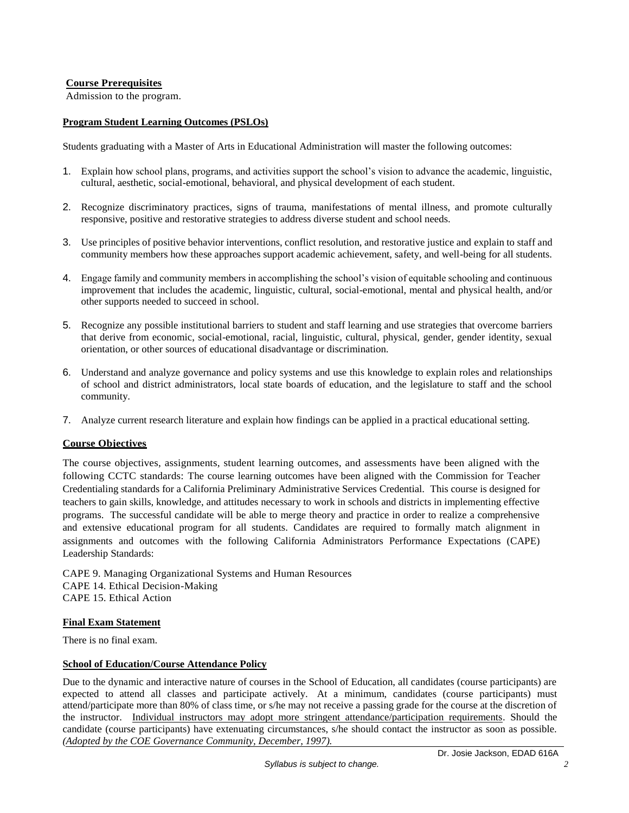### **Course Prerequisites**

Admission to the program.

### **Program Student Learning Outcomes (PSLOs)**

Students graduating with a Master of Arts in Educational Administration will master the following outcomes:

- 1. Explain how school plans, programs, and activities support the school's vision to advance the academic, linguistic, cultural, aesthetic, social-emotional, behavioral, and physical development of each student.
- 2. Recognize discriminatory practices, signs of trauma, manifestations of mental illness, and promote culturally responsive, positive and restorative strategies to address diverse student and school needs.
- 3. Use principles of positive behavior interventions, conflict resolution, and restorative justice and explain to staff and community members how these approaches support academic achievement, safety, and well-being for all students.
- 4. Engage family and community members in accomplishing the school's vision of equitable schooling and continuous improvement that includes the academic, linguistic, cultural, social-emotional, mental and physical health, and/or other supports needed to succeed in school.
- 5. Recognize any possible institutional barriers to student and staff learning and use strategies that overcome barriers that derive from economic, social-emotional, racial, linguistic, cultural, physical, gender, gender identity, sexual orientation, or other sources of educational disadvantage or discrimination.
- 6. Understand and analyze governance and policy systems and use this knowledge to explain roles and relationships of school and district administrators, local state boards of education, and the legislature to staff and the school community.
- 7. Analyze current research literature and explain how findings can be applied in a practical educational setting.

### **Course Objectives**

The course objectives, assignments, student learning outcomes, and assessments have been aligned with the following CCTC standards: The course learning outcomes have been aligned with the Commission for Teacher Credentialing standards for a California Preliminary Administrative Services Credential. This course is designed for teachers to gain skills, knowledge, and attitudes necessary to work in schools and districts in implementing effective programs. The successful candidate will be able to merge theory and practice in order to realize a comprehensive and extensive educational program for all students. Candidates are required to formally match alignment in assignments and outcomes with the following California Administrators Performance Expectations (CAPE) Leadership Standards:

CAPE 9. Managing Organizational Systems and Human Resources CAPE 14. Ethical Decision-Making CAPE 15. Ethical Action

### **Final Exam Statement**

There is no final exam.

### **School of Education/Course Attendance Policy**

Due to the dynamic and interactive nature of courses in the School of Education, all candidates (course participants) are expected to attend all classes and participate actively. At a minimum, candidates (course participants) must attend/participate more than 80% of class time, or s/he may not receive a passing grade for the course at the discretion of the instructor. Individual instructors may adopt more stringent attendance/participation requirements. Should the candidate (course participants) have extenuating circumstances, s/he should contact the instructor as soon as possible. *(Adopted by the COE Governance Community, December, 1997).*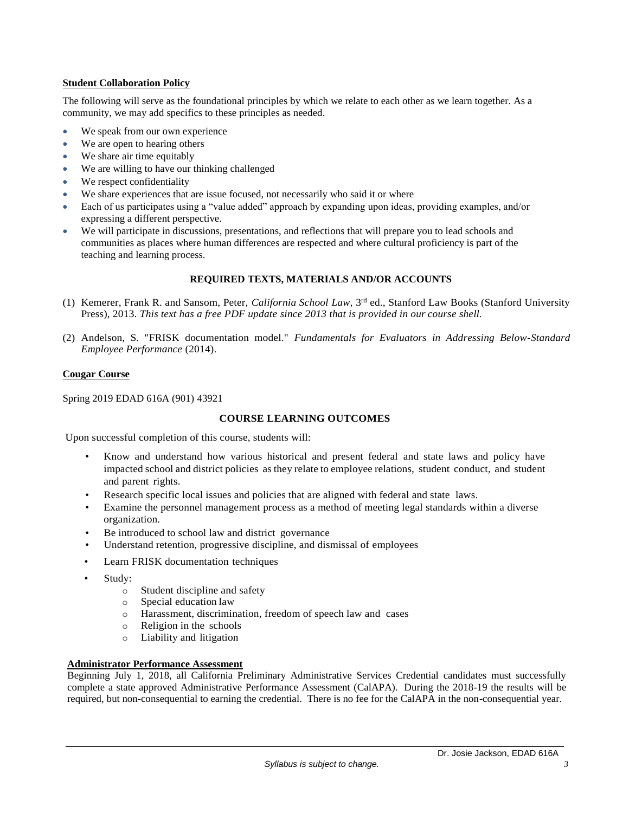### **Student Collaboration Policy**

The following will serve as the foundational principles by which we relate to each other as we learn together. As a community, we may add specifics to these principles as needed.

- We speak from our own experience
- We are open to hearing others
- We share air time equitably
- We are willing to have our thinking challenged
- We respect confidentiality
- We share experiences that are issue focused, not necessarily who said it or where
- Each of us participates using a "value added" approach by expanding upon ideas, providing examples, and/or expressing a different perspective.
- We will participate in discussions, presentations, and reflections that will prepare you to lead schools and communities as places where human differences are respected and where cultural proficiency is part of the teaching and learning process.

# **REQUIRED TEXTS, MATERIALS AND/OR ACCOUNTS**

- (1) Kemerer, Frank R. and Sansom, Peter, *California School Law,* 3 rd ed., Stanford Law Books (Stanford University Press), 2013. *This text has a free PDF update since 2013 that is provided in our course shell.*
- (2) Andelson, S. "FRISK documentation model." *Fundamentals for Evaluators in Addressing Below-Standard Employee Performance* (2014).

### **Cougar Course**

Spring 2019 EDAD 616A (901) 43921

# **COURSE LEARNING OUTCOMES**

Upon successful completion of this course, students will:

- Know and understand how various historical and present federal and state laws and policy have impacted school and district policies as they relate to employee relations, student conduct, and student and parent rights.
- Research specific local issues and policies that are aligned with federal and state laws.
- Examine the personnel management process as a method of meeting legal standards within a diverse organization.
- Be introduced to school law and district governance
- Understand retention, progressive discipline, and dismissal of employees
- Learn FRISK documentation techniques
- Study:
	- o Student discipline and safety
	- o Special education law
	- o Harassment, discrimination, freedom of speech law and cases
	- o Religion in the schools
	- o Liability and litigation

# **Administrator Performance Assessment**

Beginning July 1, 2018, all California Preliminary Administrative Services Credential candidates must successfully complete a state approved Administrative Performance Assessment (CalAPA). During the 2018-19 the results will be required, but non-consequential to earning the credential. There is no fee for the CalAPA in the non-consequential year.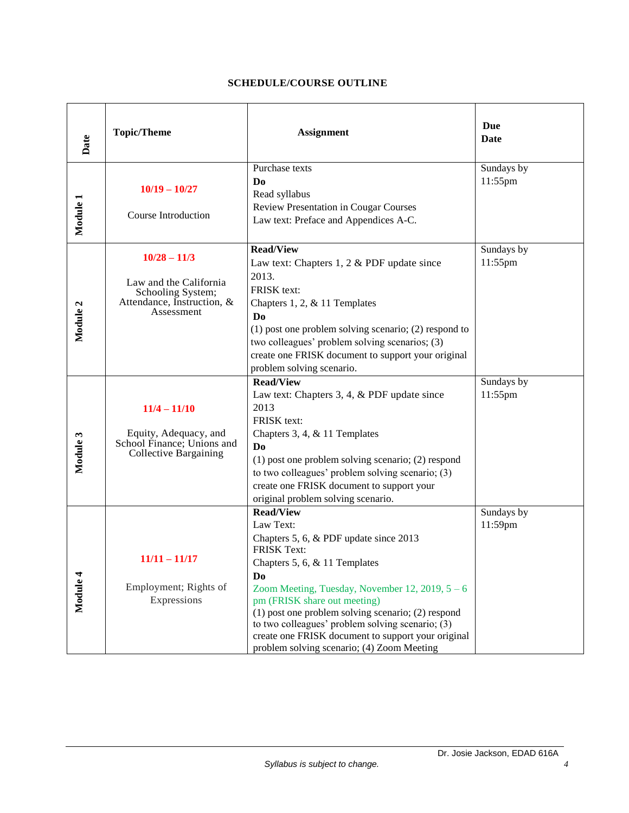# **SCHEDULE/COURSE OUTLINE**

| Date     | <b>Topic/Theme</b>                                                                                                                                                                                                                                                                                                                                                                                                                                            | <b>Assignment</b>                                                                                                                                                                                                                                                                                                                                                                                                                             | Due<br><b>Date</b>    |
|----------|---------------------------------------------------------------------------------------------------------------------------------------------------------------------------------------------------------------------------------------------------------------------------------------------------------------------------------------------------------------------------------------------------------------------------------------------------------------|-----------------------------------------------------------------------------------------------------------------------------------------------------------------------------------------------------------------------------------------------------------------------------------------------------------------------------------------------------------------------------------------------------------------------------------------------|-----------------------|
| Module 1 | $10/19 - 10/27$<br><b>Course Introduction</b>                                                                                                                                                                                                                                                                                                                                                                                                                 | Purchase texts<br>D <sub>0</sub><br>Read syllabus<br>Review Presentation in Cougar Courses<br>Law text: Preface and Appendices A-C.                                                                                                                                                                                                                                                                                                           | Sundays by<br>11:55pm |
| Module 2 | <b>Read/View</b><br>$10/28 - 11/3$<br>Law text: Chapters $1, 2 \&$ PDF update since<br>2013.<br>Law and the California<br>FRISK text:<br>Schooling System;<br>Attendance, Instruction, &<br>Chapters 1, 2, $&$ 11 Templates<br>Assessment<br>D <sub>0</sub><br>$(1)$ post one problem solving scenario; $(2)$ respond to<br>two colleagues' problem solving scenarios; (3)<br>create one FRISK document to support your original<br>problem solving scenario. |                                                                                                                                                                                                                                                                                                                                                                                                                                               | Sundays by<br>11:55pm |
| Module 3 | $11/4 - 11/10$<br>Equity, Adequacy, and<br>School Finance; Unions and<br><b>Collective Bargaining</b>                                                                                                                                                                                                                                                                                                                                                         | <b>Read/View</b><br>Law text: Chapters 3, 4, & PDF update since<br>2013<br>FRISK text:<br>Chapters 3, 4, & 11 Templates<br>D <sub>0</sub><br>$(1)$ post one problem solving scenario; $(2)$ respond<br>to two colleagues' problem solving scenario; (3)<br>create one FRISK document to support your<br>original problem solving scenario.                                                                                                    |                       |
| Module 4 | $11/11 - 11/17$<br>Employment; Rights of<br>Expressions                                                                                                                                                                                                                                                                                                                                                                                                       | <b>Read/View</b><br>Law Text:<br>Chapters 5, 6, & PDF update since 2013<br><b>FRISK Text:</b><br>Chapters 5, 6, & 11 Templates<br>Do<br>Zoom Meeting, Tuesday, November 12, 2019, $5 - 6$<br>pm (FRISK share out meeting)<br>$(1)$ post one problem solving scenario; $(2)$ respond<br>to two colleagues' problem solving scenario; $(3)$<br>create one FRISK document to support your original<br>problem solving scenario; (4) Zoom Meeting | Sundays by<br>11:59pm |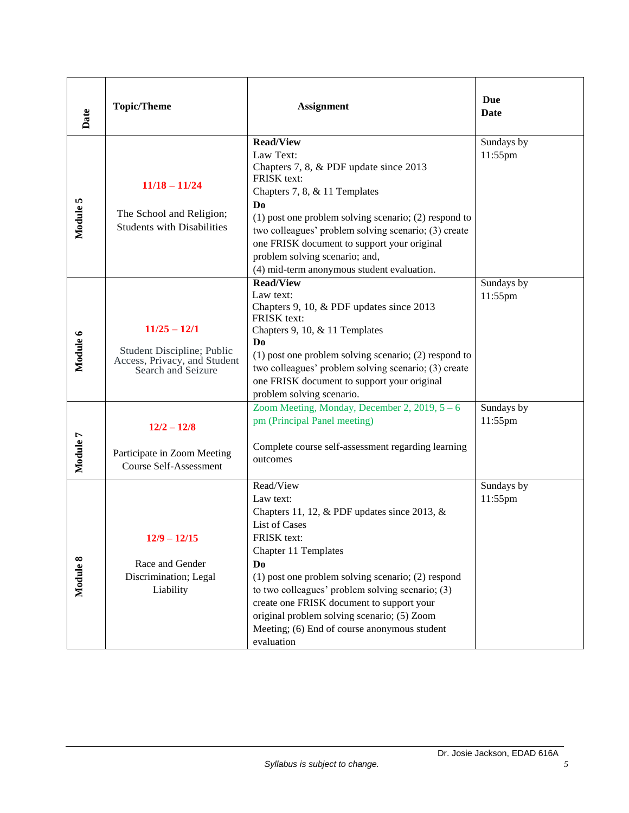| Date     | <b>Topic/Theme</b>                                                                                 | <b>Assignment</b>                                                                                                                                                                                                                                                                                                                                                                                            | Due<br>Date           |
|----------|----------------------------------------------------------------------------------------------------|--------------------------------------------------------------------------------------------------------------------------------------------------------------------------------------------------------------------------------------------------------------------------------------------------------------------------------------------------------------------------------------------------------------|-----------------------|
| Module 5 | $11/18 - 11/24$<br>The School and Religion;<br><b>Students with Disabilities</b>                   | Read/View<br>Law Text:<br>Chapters 7, 8, & PDF update since 2013<br>FRISK text:<br>Chapters 7, 8, & 11 Templates<br>D <sub>0</sub><br>$(1)$ post one problem solving scenario; $(2)$ respond to<br>two colleagues' problem solving scenario; (3) create<br>one FRISK document to support your original<br>problem solving scenario; and,<br>(4) mid-term anonymous student evaluation.                       | Sundays by<br>11:55pm |
| Module 6 | $11/25 - 12/1$<br>Student Discipline; Public<br>Access, Privacy, and Student<br>Search and Seizure | <b>Read/View</b><br>Law text:<br>Chapters 9, 10, & PDF updates since 2013<br>FRISK text:<br>Chapters 9, 10, & 11 Templates<br>D <sub>0</sub><br>$(1)$ post one problem solving scenario; $(2)$ respond to<br>two colleagues' problem solving scenario; (3) create<br>one FRISK document to support your original<br>problem solving scenario.                                                                | Sundays by<br>11:55pm |
| Module 7 | $12/2 - 12/8$<br>Participate in Zoom Meeting<br><b>Course Self-Assessment</b>                      | Zoom Meeting, Monday, December 2, 2019, $5 - 6$<br>pm (Principal Panel meeting)<br>Complete course self-assessment regarding learning<br>outcomes                                                                                                                                                                                                                                                            | Sundays by<br>11:55pm |
| Module 8 | $12/9 - 12/15$<br>Race and Gender<br>Discrimination; Legal<br>Liability                            | Read/View<br>Law text:<br>Chapters 11, 12, & PDF updates since 2013, &<br>List of Cases<br>FRISK text:<br>Chapter 11 Templates<br>Do<br>$(1)$ post one problem solving scenario; $(2)$ respond<br>to two colleagues' problem solving scenario; (3)<br>create one FRISK document to support your<br>original problem solving scenario; (5) Zoom<br>Meeting; (6) End of course anonymous student<br>evaluation | Sundays by<br>11:55pm |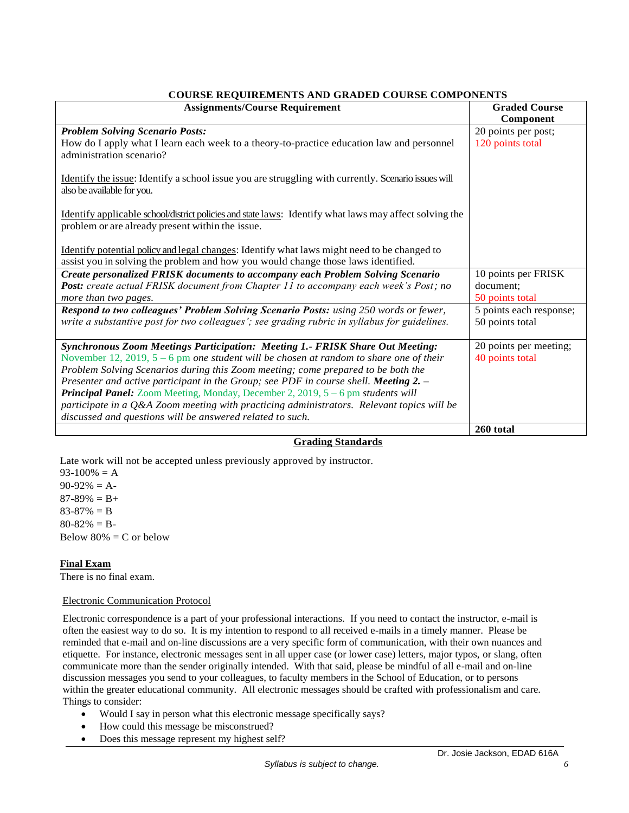| COURSE REQUIREMENTS AND GRADED COURSE COMPONENTS                                                                                                                                 |                         |  |  |
|----------------------------------------------------------------------------------------------------------------------------------------------------------------------------------|-------------------------|--|--|
| <b>Assignments/Course Requirement</b>                                                                                                                                            | <b>Graded Course</b>    |  |  |
|                                                                                                                                                                                  | Component               |  |  |
| <b>Problem Solving Scenario Posts:</b>                                                                                                                                           | 20 points per post;     |  |  |
| How do I apply what I learn each week to a theory-to-practice education law and personnel<br>administration scenario?                                                            | 120 points total        |  |  |
| Identify the issue: Identify a school issue you are struggling with currently. Scenario issues will<br>also be available for you.                                                |                         |  |  |
| Identify applicable school/district policies and state laws: Identify what laws may affect solving the<br>problem or are already present within the issue.                       |                         |  |  |
| Identify potential policy and legal changes: Identify what laws might need to be changed to<br>assist you in solving the problem and how you would change those laws identified. |                         |  |  |
| <b>Create personalized FRISK documents to accompany each Problem Solving Scenario</b>                                                                                            | 10 points per FRISK     |  |  |
| Post: create actual FRISK document from Chapter 11 to accompany each week's Post; no                                                                                             | document;               |  |  |
| more than two pages.                                                                                                                                                             | 50 points total         |  |  |
| Respond to two colleagues' Problem Solving Scenario Posts: using 250 words or fewer,                                                                                             | 5 points each response; |  |  |
| write a substantive post for two colleagues'; see grading rubric in syllabus for guidelines.                                                                                     | 50 points total         |  |  |
| Synchronous Zoom Meetings Participation: Meeting 1.- FRISK Share Out Meeting:                                                                                                    | 20 points per meeting;  |  |  |
| November 12, 2019, $5 - 6$ pm one student will be chosen at random to share one of their                                                                                         | 40 points total         |  |  |
| Problem Solving Scenarios during this Zoom meeting; come prepared to be both the                                                                                                 |                         |  |  |
| Presenter and active participant in the Group; see PDF in course shell. Meeting 2. -                                                                                             |                         |  |  |
| Principal Panel: Zoom Meeting, Monday, December 2, 2019, 5 - 6 pm students will                                                                                                  |                         |  |  |
| participate in a Q&A Zoom meeting with practicing administrators. Relevant topics will be                                                                                        |                         |  |  |
| discussed and questions will be answered related to such.                                                                                                                        |                         |  |  |
|                                                                                                                                                                                  | 260 total               |  |  |

# **COURSE REQUIREMENTS AND GRADED COURSE COMPONENTS**

### **Grading Standards**

Late work will not be accepted unless previously approved by instructor.  $93-100% = A$  $90-92\% = A$  $87-89\% = B +$  $83-87\% = B$  $80-82\% = B$ Below  $80\% = C$  or below

### **Final Exam**

There is no final exam.

#### Electronic Communication Protocol

Electronic correspondence is a part of your professional interactions. If you need to contact the instructor, e-mail is often the easiest way to do so. It is my intention to respond to all received e-mails in a timely manner. Please be reminded that e-mail and on-line discussions are a very specific form of communication, with their own nuances and etiquette. For instance, electronic messages sent in all upper case (or lower case) letters, major typos, or slang, often communicate more than the sender originally intended. With that said, please be mindful of all e-mail and on-line discussion messages you send to your colleagues, to faculty members in the School of Education, or to persons within the greater educational community. All electronic messages should be crafted with professionalism and care. Things to consider:

- Would I say in person what this electronic message specifically says?
- How could this message be misconstrued?
- Does this message represent my highest self?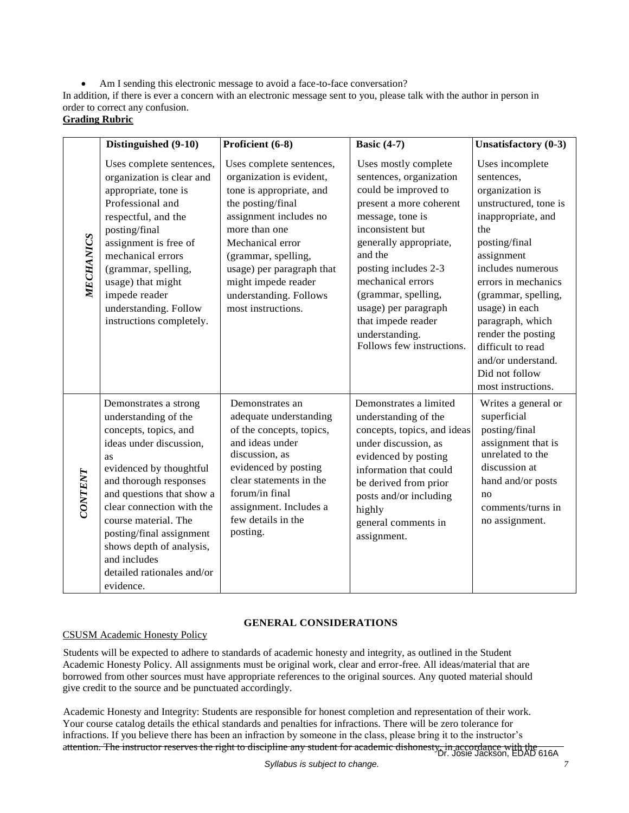Am I sending this electronic message to avoid a face-to-face conversation?

In addition, if there is ever a concern with an electronic message sent to you, please talk with the author in person in order to correct any confusion.

# **Grading Rubric**

|                | Distinguished (9-10)                                                                                                                                                                                                                                                                                                                                              | Proficient (6-8)                                                                                                                                                                                                                                                                                | <b>Basic (4-7)</b>                                                                                                                                                                                                                                                                                                                               | <b>Unsatisfactory (0-3)</b>                                                                                                                                                                                                                                                                                                                             |
|----------------|-------------------------------------------------------------------------------------------------------------------------------------------------------------------------------------------------------------------------------------------------------------------------------------------------------------------------------------------------------------------|-------------------------------------------------------------------------------------------------------------------------------------------------------------------------------------------------------------------------------------------------------------------------------------------------|--------------------------------------------------------------------------------------------------------------------------------------------------------------------------------------------------------------------------------------------------------------------------------------------------------------------------------------------------|---------------------------------------------------------------------------------------------------------------------------------------------------------------------------------------------------------------------------------------------------------------------------------------------------------------------------------------------------------|
| MECHANICS      | Uses complete sentences,<br>organization is clear and<br>appropriate, tone is<br>Professional and<br>respectful, and the<br>posting/final<br>assignment is free of<br>mechanical errors<br>(grammar, spelling,<br>usage) that might<br>impede reader<br>understanding. Follow<br>instructions completely.                                                         | Uses complete sentences,<br>organization is evident,<br>tone is appropriate, and<br>the posting/final<br>assignment includes no<br>more than one<br>Mechanical error<br>(grammar, spelling,<br>usage) per paragraph that<br>might impede reader<br>understanding. Follows<br>most instructions. | Uses mostly complete<br>sentences, organization<br>could be improved to<br>present a more coherent<br>message, tone is<br>inconsistent but<br>generally appropriate,<br>and the<br>posting includes 2-3<br>mechanical errors<br>(grammar, spelling,<br>usage) per paragraph<br>that impede reader<br>understanding.<br>Follows few instructions. | Uses incomplete<br>sentences,<br>organization is<br>unstructured, tone is<br>inappropriate, and<br>the<br>posting/final<br>assignment<br>includes numerous<br>errors in mechanics<br>(grammar, spelling,<br>usage) in each<br>paragraph, which<br>render the posting<br>difficult to read<br>and/or understand.<br>Did not follow<br>most instructions. |
| <b>CONTENT</b> | Demonstrates a strong<br>understanding of the<br>concepts, topics, and<br>ideas under discussion,<br>as<br>evidenced by thoughtful<br>and thorough responses<br>and questions that show a<br>clear connection with the<br>course material. The<br>posting/final assignment<br>shows depth of analysis,<br>and includes<br>detailed rationales and/or<br>evidence. | Demonstrates an<br>adequate understanding<br>of the concepts, topics,<br>and ideas under<br>discussion, as<br>evidenced by posting<br>clear statements in the<br>forum/in final<br>assignment. Includes a<br>few details in the<br>posting.                                                     | Demonstrates a limited<br>understanding of the<br>concepts, topics, and ideas<br>under discussion, as<br>evidenced by posting<br>information that could<br>be derived from prior<br>posts and/or including<br>highly<br>general comments in<br>assignment.                                                                                       | Writes a general or<br>superficial<br>posting/final<br>assignment that is<br>unrelated to the<br>discussion at<br>hand and/or posts<br>no<br>comments/turns in<br>no assignment.                                                                                                                                                                        |

# **GENERAL CONSIDERATIONS**

# CSUSM Academic Honesty Policy

 Students will be expected to adhere to standards of academic honesty and integrity, as outlined in the Student Academic Honesty Policy. All assignments must be original work, clear and error-free. All ideas/material that are borrowed from other sources must have appropriate references to the original sources. Any quoted material should give credit to the source and be punctuated accordingly.

attention. The instructor reserves the right to discipline any student for academic dishonesty, in accordance with the<br>Dr. Josie Jackson, EDAD 616A Academic Honesty and Integrity: Students are responsible for honest completion and representation of their work. Your course catalog details the ethical standards and penalties for infractions. There will be zero tolerance for infractions. If you believe there has been an infraction by someone in the class, please bring it to the instructor's